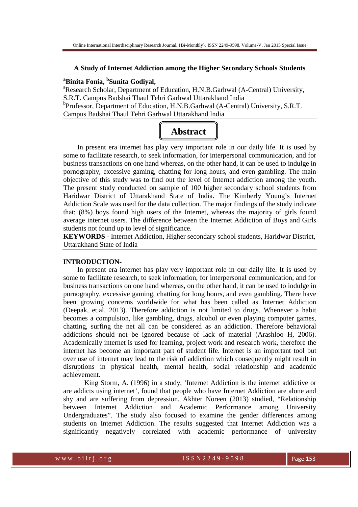#### **A Study of Internet Addiction among the Higher Secondary Schools Students**

# **<sup>a</sup>Binita Fonia, <sup>b</sup> Sunita Godiyal,**

<sup>a</sup>Research Scholar, Department of Education, H.N.B.Garhwal (A-Central) University, S.R.T. Campus Badshai Thaul Tehri Garhwal Uttarakhand India <sup>b</sup>Professor, Department of Education, H.N.B.Garhwal (A-Central) University, S.R.T. Campus Badshai Thaul Tehri Garhwal Uttarakhand India

# **Abstract**

 In present era internet has play very important role in our daily life. It is used by some to facilitate research, to seek information, for interpersonal communication, and for business transactions on one hand whereas, on the other hand, it can be used to indulge in pornography, excessive gaming, chatting for long hours, and even gambling. The main objective of this study was to find out the level of Internet addiction among the youth. The present study conducted on sample of 100 higher secondary school students from Haridwar District of Uttarakhand State of India. The Kimberly Young's Internet Addiction Scale was used for the data collection. The major findings of the study indicate that; (8%) boys found high users of the Internet, whereas the majority of girls found average internet users. The difference between the Internet Addiction of Boys and Girls students not found up to level of significance.

**KEYWORDS -** Internet Addiction, Higher secondary school students, Haridwar District, Uttarakhand State of India

# **INTRODUCTION-**

 In present era internet has play very important role in our daily life. It is used by some to facilitate research, to seek information, for interpersonal communication, and for business transactions on one hand whereas, on the other hand, it can be used to indulge in pornography, excessive gaming, chatting for long hours, and even gambling. There have been growing concerns worldwide for what has been called as Internet Addiction (Deepak, et.al. 2013). Therefore addiction is not limited to drugs. Whenever a habit becomes a compulsion, like gambling, drugs, alcohol or even playing computer games, chatting, surfing the net all can be considered as an addiction. Therefore behavioral addictions should not be ignored because of lack of material (Arashloo H, 2006). Academically internet is used for learning, project work and research work, therefore the internet has become an important part of student life. Internet is an important tool but over use of internet may lead to the risk of addiction which consequently might result in disruptions in physical health, mental health, social relationship and academic achievement.

King Storm, A. (1996) in a study, 'Internet Addiction is the internet addictive or are addicts using internet', found that people who have Internet Addiction are alone and shy and are suffering from depression. Akhter Noreen (2013) studied, "Relationship between Internet Addiction and Academic Performance among University Undergraduates". The study also focused to examine the gender differences among students on Internet Addiction. The results suggested that Internet Addiction was a significantly negatively correlated with academic performance of university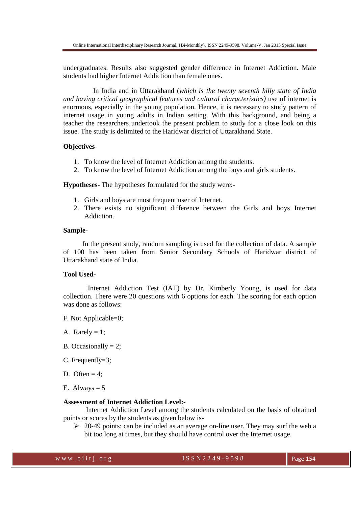undergraduates. Results also suggested gender difference in Internet Addiction. Male students had higher Internet Addiction than female ones.

 In India and in Uttarakhand (*which is the twenty seventh hilly state of India and having critical geographical features and cultural characteristics)* use of internet is enormous, especially in the young population. Hence, it is necessary to study pattern of internet usage in young adults in Indian setting. With this background, and being a teacher the researchers undertook the present problem to study for a close look on this issue. The study is delimited to the Haridwar district of Uttarakhand State.

# **Objectives-**

- 1. To know the level of Internet Addiction among the students.
- 2. To know the level of Internet Addiction among the boys and girls students.

**Hypotheses-** The hypotheses formulated for the study were:-

- 1. Girls and boys are most frequent user of Internet.
- 2. There exists no significant difference between the Girls and boys Internet Addiction.

## **Sample-**

In the present study, random sampling is used for the collection of data. A sample of 100 has been taken from Senior Secondary Schools of Haridwar district of Uttarakhand state of India.

# **Tool Used-**

 Internet Addiction Test (IAT) by Dr. Kimberly Young, is used for data collection. There were 20 questions with 6 options for each. The scoring for each option was done as follows:

F. Not Applicable=0;

A. Rarely  $= 1$ ;

- B. Occasionally  $= 2$ ;
- C. Frequently=3;
- D. Often  $= 4$ ;
- E. Always  $= 5$

# **Assessment of Internet Addiction Level:-**

 Internet Addiction Level among the students calculated on the basis of obtained points or scores by the students as given below is-

 $\geq 20-49$  points: can be included as an average on-line user. They may surf the web a bit too long at times, but they should have control over the Internet usage.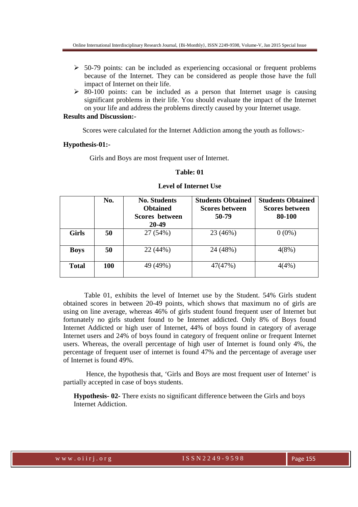- $\geq$  50-79 points: can be included as experiencing occasional or frequent problems because of the Internet. They can be considered as people those have the full impact of Internet on their life.
- $\geq$  80-100 points: can be included as a person that Internet usage is causing significant problems in their life. You should evaluate the impact of the Internet on your life and address the problems directly caused by your Internet usage.

# **Results and Discussion:-**

Scores were calculated for the Internet Addiction among the youth as follows:-

#### **Hypothesis-01:-**

Girls and Boys are most frequent user of Internet.

### **Table: 01**

|              | No.        | <b>No. Students</b><br><b>Obtained</b><br>Scores between<br>20-49 | <b>Students Obtained</b><br><b>Scores between</b><br>50-79 | <b>Students Obtained</b><br><b>Scores between</b><br>80-100 |
|--------------|------------|-------------------------------------------------------------------|------------------------------------------------------------|-------------------------------------------------------------|
| <b>Girls</b> | 50         | 27 (54%)                                                          | 23 (46%)                                                   | $0(0\%)$                                                    |
| <b>Boys</b>  | 50         | 22 (44%)                                                          | 24 (48%)                                                   | 4(8%)                                                       |
| <b>Total</b> | <b>100</b> | 49 (49%)                                                          | 47(47%)                                                    | 4(4%)                                                       |

# **Level of Internet Use**

Table 01, exhibits the level of Internet use by the Student. 54% Girls student obtained scores in between 20-49 points, which shows that maximum no of girls are using on line average, whereas 46% of girls student found frequent user of Internet but fortunately no girls student found to be Internet addicted. Only 8% of Boys found Internet Addicted or high user of Internet, 44% of boys found in category of average Internet users and 24% of boys found in category of frequent online or frequent Internet users. Whereas, the overall percentage of high user of Internet is found only 4%, the percentage of frequent user of internet is found 47% and the percentage of average user of Internet is found 49%.

 Hence, the hypothesis that, 'Girls and Boys are most frequent user of Internet' is partially accepted in case of boys students.

**Hypothesis- 02-** There exists no significant difference between the Girls and boys Internet Addiction.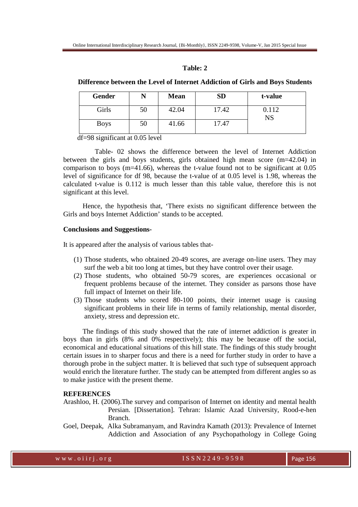# **Table: 2**

## **Difference between the Level of Internet Addiction of Girls and Boys Students**

| Gender      |    | <b>Mean</b> | <b>SD</b> | t-value            |  |
|-------------|----|-------------|-----------|--------------------|--|
| Girls       | 50 | 42.04       | 17.42     | 0.112<br><b>NS</b> |  |
| <b>Boys</b> | 50 | 41.66       | 17.47     |                    |  |

df=98 significant at 0.05 level

 Table- 02 shows the difference between the level of Internet Addiction between the girls and boys students, girls obtained high mean score (m=42.04) in comparison to boys (m=41.66), whereas the t-value found not to be significant at 0.05 level of significance for df 98, because the t-value of at 0.05 level is 1.98, whereas the calculated t-value is 0.112 is much lesser than this table value, therefore this is not significant at this level.

 Hence, the hypothesis that, 'There exists no significant difference between the Girls and boys Internet Addiction' stands to be accepted.

## **Conclusions and Suggestions-**

It is appeared after the analysis of various tables that-

- (1) Those students, who obtained 20-49 scores, are average on-line users. They may surf the web a bit too long at times, but they have control over their usage.
- (2) Those students, who obtained 50-79 scores, are experiences occasional or frequent problems because of the internet. They consider as parsons those have full impact of Internet on their life.
- (3) Those students who scored 80-100 points, their internet usage is causing significant problems in their life in terms of family relationship, mental disorder, anxiety, stress and depression etc.

 The findings of this study showed that the rate of internet addiction is greater in boys than in girls (8% and 0% respectively); this may be because off the social, economical and educational situations of this hill state. The findings of this study brought certain issues in to sharper focus and there is a need for further study in order to have a thorough probe in the subject matter. It is believed that such type of subsequent approach would enrich the literature further. The study can be attempted from different angles so as to make justice with the present theme.

## **REFERENCES**

- Arashloo, H. (2006).The survey and comparison of Internet on identity and mental health Persian. [Dissertation]. Tehran: Islamic Azad University, Rood-e-hen Branch.
- Goel, Deepak, Alka Subramanyam, and Ravindra Kamath (2013): Prevalence of Internet Addiction and Association of any Psychopathology in College Going

w w w . o i i r j . o r g i set of the SSN 2 2 4 9 - 9 5 9 8 Page 156